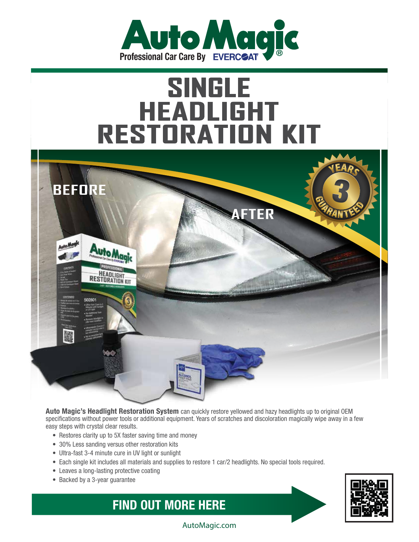

## **SINGLE<br>HEADLIGHT<br>RESTORATION KIT**



**Auto Magic's Headlight Restoration System** can quickly restore yellowed and hazy headlights up to original OEM specifications without power tools or additional equipment. Years of scratches and discoloration magically wipe away in a few easy steps with crystal clear results.

- Restores clarity up to 5X faster saving time and money
- 30% Less sanding versus other restoration kits
- Ultra-fast 3-4 minute cure in UV light or sunlight
- Each single kit includes all materials and supplies to restore 1 car/2 headlights. No special tools required.
- Leaves a long-lasting protective coating
- Backed by a 3-year guarantee

**FIND OUT MORE HERE**



AutoMagic.com